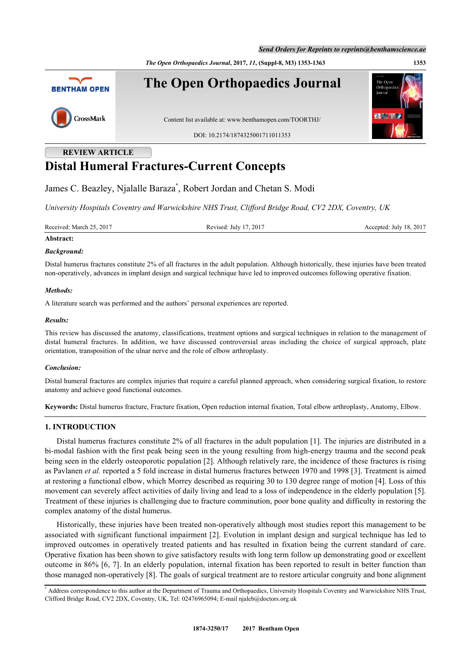*The Open Orthopaedics Journal***, 2017,** *11***, (Suppl-8, M3) 1353-1363 1353**



# **REVIEW ARTICLE Distal Humeral Fractures-Current Concepts**

James C. Beazley, Njalalle Baraza[\\*](#page-0-0) , Robert Jordan and Chetan S. Modi

*University Hospitals Coventry and Warwickshire NHS Trust, Clifford Bridge Road, CV2 2DX, Coventry, UK*

Received: March 25, 2017 Revised: July 17, 2017 Revised: July 17, 2017 Accepted: July 18, 2017

# **Abstract:**

# *Background:*

Distal humerus fractures constitute 2% of all fractures in the adult population. Although historically, these injuries have been treated non-operatively, advances in implant design and surgical technique have led to improved outcomes following operative fixation.

#### *Methods:*

A literature search was performed and the authors' personal experiences are reported.

#### *Results:*

This review has discussed the anatomy, classifications, treatment options and surgical techniques in relation to the management of distal humeral fractures. In addition, we have discussed controversial areas including the choice of surgical approach, plate orientation, transposition of the ulnar nerve and the role of elbow arthroplasty.

# *Conclusion:*

Distal humeral fractures are complex injuries that require a careful planned approach, when considering surgical fixation, to restore anatomy and achieve good functional outcomes.

**Keywords:** Distal humerus fracture, Fracture fixation, Open reduction internal fixation, Total elbow arthroplasty, Anatomy, Elbow.

# **1. INTRODUCTION**

Distal humerus fractures constitute 2% of all fractures in the adult population [[1\]](#page-7-0). The injuries are distributed in a bi-modal fashion with the first peak being seen in the young resulting from high-energy trauma and the second peak being seen in the elderly osteoporotic population [[2\]](#page-7-1). Although relatively rare, the incidence of these fractures is rising as Pavlanen *et al.* reported a 5 fold increase in distal humerus fractures between 1970 and 1998 [\[3](#page-7-2)]. Treatment is aimed at restoring a functional elbow, which Morrey described as requiring 30 to 130 degree range of motion [[4\]](#page-7-3). Loss of this movement can severely affect activities of daily living and lead to a loss of independence in the elderly population [[5\]](#page-7-4). Treatment of these injuries is challenging due to fracture comminution, poor bone quality and difficulty in restoring the complex anatomy of the distal humerus.

Historically, these injuries have been treated non-operatively although most studies report this management to be associated with significant functional impairment [\[2](#page-7-1)]. Evolution in implant design and surgical technique has led to improved outcomes in operatively treated patients and has resulted in fixation being the current standard of care. Operative fixation has been shown to give satisfactory results with long term follow up demonstrating good or excellent outcome in 86% [\[6,](#page-7-5) [7](#page-7-6)]. In an elderly population, internal fixation has been reported to result in better function than those managed non-operatively [\[8](#page-7-7)]. The goals of surgical treatment are to restore articular congruity and bone alignment

<span id="page-0-0"></span>\* Address correspondence to this author at the Department of Trauma and Orthopaedics, University Hospitals Coventry and Warwickshire NHS Trust, Clifford Bridge Road, CV2 2DX, Coventry, UK, Tel: 02476965094; E-mail [njaleb@doctors.org.uk](mailto:njaleb@doctors.org.uk)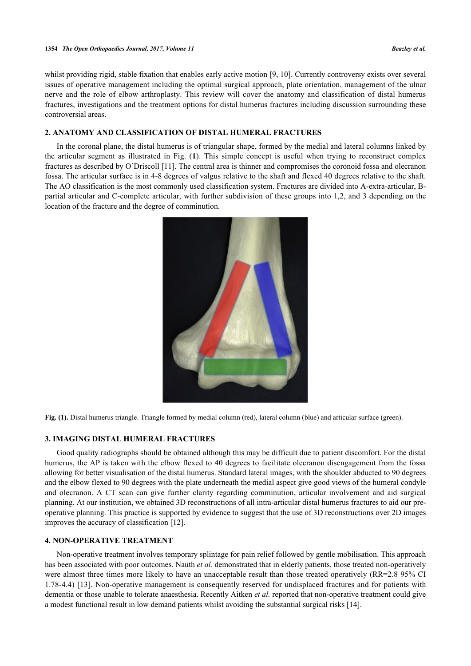whilst providing rigid, stable fixation that enables early active motion [\[9](#page-7-8), [10](#page-7-9)]. Currently controversy exists over several issues of operative management including the optimal surgical approach, plate orientation, management of the ulnar nerve and the role of elbow arthroplasty. This review will cover the anatomy and classification of distal humerus fractures, investigations and the treatment options for distal humerus fractures including discussion surrounding these controversial areas.

# **2. ANATOMY AND CLASSIFICATION OF DISTAL HUMERAL FRACTURES**

<span id="page-1-0"></span>In the coronal plane, the distal humerus is of triangular shape, formed by the medial and lateral columns linked by the articular segment as illustrated in Fig. (**[1](#page-1-0)**). This simple concept is useful when trying to reconstruct complex fractures as described by O'Driscoll [\[11](#page-7-10)]. The central area is thinner and compromises the coronoid fossa and olecranon fossa. The articular surface is in 4-8 degrees of valgus relative to the shaft and flexed 40 degrees relative to the shaft. The AO classification is the most commonly used classification system. Fractures are divided into A-extra-articular, Bpartial articular and C-complete articular, with further subdivision of these groups into 1,2, and 3 depending on the location of the fracture and the degree of comminution.



**Fig. (1).** Distal humerus triangle. Triangle formed by medial column (red), lateral column (blue) and articular surface (green).

# **3. IMAGING DISTAL HUMERAL FRACTURES**

Good quality radiographs should be obtained although this may be difficult due to patient discomfort. For the distal humerus, the AP is taken with the elbow flexed to 40 degrees to facilitate olecranon disengagement from the fossa allowing for better visualisation of the distal humerus. Standard lateral images, with the shoulder abducted to 90 degrees and the elbow flexed to 90 degrees with the plate underneath the medial aspect give good views of the humeral condyle and olecranon. A CT scan can give further clarity regarding comminution, articular involvement and aid surgical planning. At our institution, we obtained 3D reconstructions of all intra-articular distal humerus fractures to aid our preoperative planning. This practice is supported by evidence to suggest that the use of 3D reconstructions over 2D images improves the accuracy of classification [[12\]](#page-7-11).

# **4. NON-OPERATIVE TREATMENT**

Non-operative treatment involves temporary splintage for pain relief followed by gentle mobilisation. This approach has been associated with poor outcomes. Nauth *et al.* demonstrated that in elderly patients, those treated non-operatively were almost three times more likely to have an unacceptable result than those treated operatively (RR=2.8 95% CI 1.78-4.4) [\[13](#page-8-0)]. Non-operative management is consequently reserved for undisplaced fractures and for patients with dementia or those unable to tolerate anaesthesia. Recently Aitken *et al.* reported that non-operative treatment could give a modest functional result in low demand patients whilst avoiding the substantial surgical risks [[14\]](#page-8-1).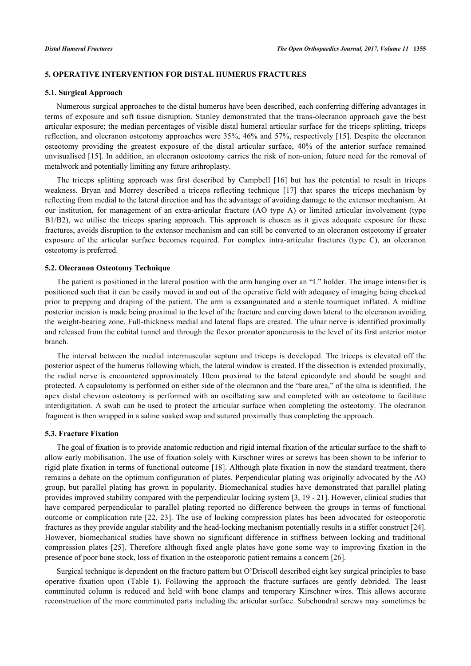# **5. OPERATIVE INTERVENTION FOR DISTAL HUMERUS FRACTURES**

#### **5.1. Surgical Approach**

Numerous surgical approaches to the distal humerus have been described, each conferring differing advantages in terms of exposure and soft tissue disruption. Stanley demonstrated that the trans-olecranon approach gave the best articular exposure; the median percentages of visible distal humeral articular surface for the triceps splitting, triceps reflection, and olecranon osteotomy approaches were 35%, 46% and 57%, respectively [\[15](#page-8-2)]. Despite the olecranon osteotomy providing the greatest exposure of the distal articular surface, 40% of the anterior surface remained unvisualised [[15\]](#page-8-2). In addition, an olecranon osteotomy carries the risk of non-union, future need for the removal of metalwork and potentially limiting any future arthroplasty.

The triceps splitting approach was first described by Campbell[[16\]](#page-8-3) but has the potential to result in triceps weakness. Bryan and Morrey described a triceps reflecting technique [\[17\]](#page-8-4) that spares the triceps mechanism by reflecting from medial to the lateral direction and has the advantage of avoiding damage to the extensor mechanism. At our institution, for management of an extra-articular fracture (AO type A) or limited articular involvement (type B1/B2), we utilise the triceps sparing approach. This approach is chosen as it gives adequate exposure for these fractures, avoids disruption to the extensor mechanism and can still be converted to an olecranon osteotomy if greater exposure of the articular surface becomes required. For complex intra-articular fractures (type C), an olecranon osteotomy is preferred.

#### **5.2. Olecranon Osteotomy Technique**

The patient is positioned in the lateral position with the arm hanging over an "L" holder. The image intensifier is positioned such that it can be easily moved in and out of the operative field with adequacy of imaging being checked prior to prepping and draping of the patient. The arm is exsanguinated and a sterile tourniquet inflated. A midline posterior incision is made being proximal to the level of the fracture and curving down lateral to the olecranon avoiding the weight-bearing zone. Full-thickness medial and lateral flaps are created. The ulnar nerve is identified proximally and released from the cubital tunnel and through the flexor pronator aponeurosis to the level of its first anterior motor branch.

The interval between the medial intermuscular septum and triceps is developed. The triceps is elevated off the posterior aspect of the humerus following which, the lateral window is created. If the dissection is extended proximally, the radial nerve is encountered approximately 10cm proximal to the lateral epicondyle and should be sought and protected. A capsulotomy is performed on either side of the olecranon and the "bare area," of the ulna is identified. The apex distal chevron osteotomy is performed with an oscillating saw and completed with an osteotome to facilitate interdigitation. A swab can be used to protect the articular surface when completing the osteotomy. The olecranon fragment is then wrapped in a saline soaked swap and sutured proximally thus completing the approach.

#### **5.3. Fracture Fixation**

The goal of fixation is to provide anatomic reduction and rigid internal fixation of the articular surface to the shaft to allow early mobilisation. The use of fixation solely with Kirschner wires or screws has been shown to be inferior to rigid plate fixation in terms of functional outcome [[18](#page-8-5)]. Although plate fixation in now the standard treatment, there remains a debate on the optimum configuration of plates. Perpendicular plating was originally advocated by the AO group, but parallel plating has grown in popularity. Biomechanical studies have demonstrated that parallel plating provides improved stability compared with the perpendicular locking system [[3,](#page-7-2) [19](#page-8-6) - [21\]](#page-8-7). However, clinical studies that have compared perpendicular to parallel plating reported no difference between the groups in terms of functional outcome or complication rate [[22,](#page-8-8) [23](#page-8-9)]. The use of locking compression plates has been advocated for osteoporotic fractures as they provide angular stability and the head-locking mechanism potentially results in a stiffer construct [[24\]](#page-8-10). However, biomechanical studies have shown no significant difference in stiffness between locking and traditional compression plates[[25\]](#page-8-11). Therefore although fixed angle plates have gone some way to improving fixation in the presence of poor bone stock, loss of fixation in the osteoporotic patient remains a concern [[26\]](#page-8-12).

Surgical technique is dependent on the fracture pattern but O'Driscoll described eight key surgical principles to base operative fixation upon (Table**1**). Following the approach the fracture surfaces are gently debrided. The least comminuted column is reduced and held with bone clamps and temporary Kirschner wires. This allows accurate reconstruction of the more comminuted parts including the articular surface. Subchondral screws may sometimes be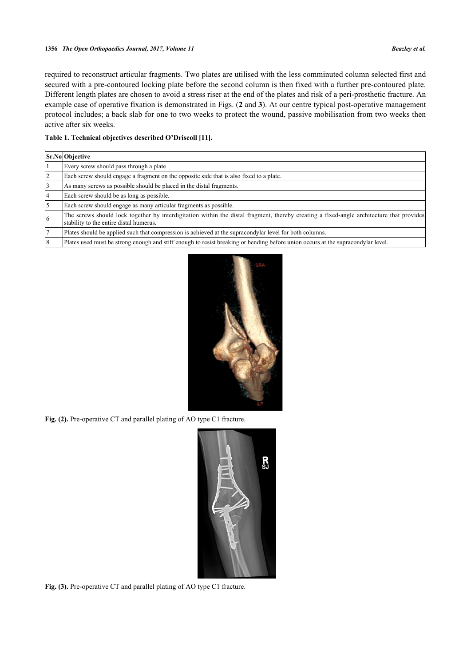required to reconstruct articular fragments. Two plates are utilised with the less comminuted column selected first and secured with a pre-contoured locking plate before the second column is then fixed with a further pre-contoured plate. Different length plates are chosen to avoid a stress riser at the end of the plates and risk of a peri-prosthetic fracture. An example case of operative fixation is demonstrated in Figs. (**[2](#page-3-1)** and **[3](#page-3-2)**). At our centre typical post-operative management protocol includes; a back slab for one to two weeks to protect the wound, passive mobilisation from two weeks then active after six weeks.

# <span id="page-3-0"></span>**Table 1. Technical objectives described O'Driscoll [\[11](#page-7-10)].**

<span id="page-3-1"></span>

|    | Sr.No Objective                                                                                                                                                                     |
|----|-------------------------------------------------------------------------------------------------------------------------------------------------------------------------------------|
|    | Every screw should pass through a plate                                                                                                                                             |
|    | Each screw should engage a fragment on the opposite side that is also fixed to a plate.                                                                                             |
|    | As many screws as possible should be placed in the distal fragments.                                                                                                                |
|    | Each screw should be as long as possible.                                                                                                                                           |
|    | Each screw should engage as many articular fragments as possible.                                                                                                                   |
| 16 | The screws should lock together by interdigitation within the distal fragment, thereby creating a fixed-angle architecture that provides<br>stability to the entire distal humerus. |
|    | Plates should be applied such that compression is achieved at the supracondylar level for both columns.                                                                             |
|    | Plates used must be strong enough and stiff enough to resist breaking or bending before union occurs at the supracondylar level.                                                    |



<span id="page-3-2"></span>**Fig. (2).** Pre-operative CT and parallel plating of AO type C1 fracture.



**Fig. (3).** Pre-operative CT and parallel plating of AO type C1 fracture.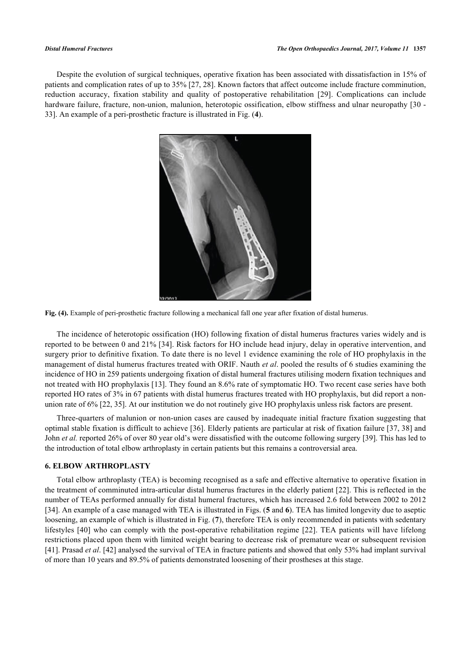<span id="page-4-0"></span>Despite the evolution of surgical techniques, operative fixation has been associated with dissatisfaction in 15% of patients and complication rates of up to 35% [[27,](#page-8-13) [28\]](#page-8-14). Known factors that affect outcome include fracture comminution, reduction accuracy, fixation stability and quality of postoperative rehabilitation[[29](#page-8-15)]. Complications can include hardware failure, fracture, non-union, malunion, heterotopic ossification, elbow stiffness and ulnar neuropathy [[30](#page-8-16) -[33\]](#page-9-0). An example of a peri-prosthetic fracture is illustrated in Fig. (**[4](#page-4-0)**).





The incidence of heterotopic ossification (HO) following fixation of distal humerus fractures varies widely and is reported to be between 0 and 21% [[34](#page-9-1)]. Risk factors for HO include head injury, delay in operative intervention, and surgery prior to definitive fixation. To date there is no level 1 evidence examining the role of HO prophylaxis in the management of distal humerus fractures treated with ORIF. Nauth *et al*. pooled the results of 6 studies examining the incidence of HO in 259 patients undergoing fixation of distal humeral fractures utilising modern fixation techniques and not treated with HO prophylaxis [[13](#page-8-0)]. They found an 8.6% rate of symptomatic HO. Two recent case series have both reported HO rates of 3% in 67 patients with distal humerus fractures treated with HO prophylaxis, but did report a nonunion rate of 6% [\[22](#page-8-8), [35](#page-9-2)]. At our institution we do not routinely give HO prophylaxis unless risk factors are present.

Three-quarters of malunion or non-union cases are caused by inadequate initial fracture fixation suggesting that optimal stable fixation is difficult to achieve [[36\]](#page-9-3). Elderly patients are particular at risk of fixation failure [\[37,](#page-9-4) [38\]](#page-9-5) and John *et al.* reported 26% of over 80 year old's were dissatisfied with the outcome following surgery [[39\]](#page-9-6). This has led to the introduction of total elbow arthroplasty in certain patients but this remains a controversial area.

# **6. ELBOW ARTHROPLASTY**

<span id="page-4-1"></span>Total elbow arthroplasty (TEA) is becoming recognised as a safe and effective alternative to operative fixation in the treatment of comminuted intra-articular distal humerus fractures in the elderly patient [[22](#page-8-8)]. This is reflected in the number of TEAs performed annually for distal humeral fractures, which has increased 2.6 fold between 2002 to 2012 [\[34](#page-9-1)]. An example of a case managed with TEA is illustrated in Figs. (**[5](#page-4-1)** and **[6](#page-5-0)**). TEA has limited longevity due to aseptic loosening, an example of which is illustrated in Fig. (**[7](#page-5-1)**), therefore TEA is only recommended in patients with sedentary lifestyles [[40](#page-9-7)] who can comply with the post-operative rehabilitation regime [\[22\]](#page-8-8). TEA patients will have lifelong restrictions placed upon them with limited weight bearing to decrease risk of premature wear or subsequent revision [\[41](#page-9-8)]. Prasad *et al*. [[42\]](#page-9-9) analysed the survival of TEA in fracture patients and showed that only 53% had implant survival of more than 10 years and 89.5% of patients demonstrated loosening of their prostheses at this stage.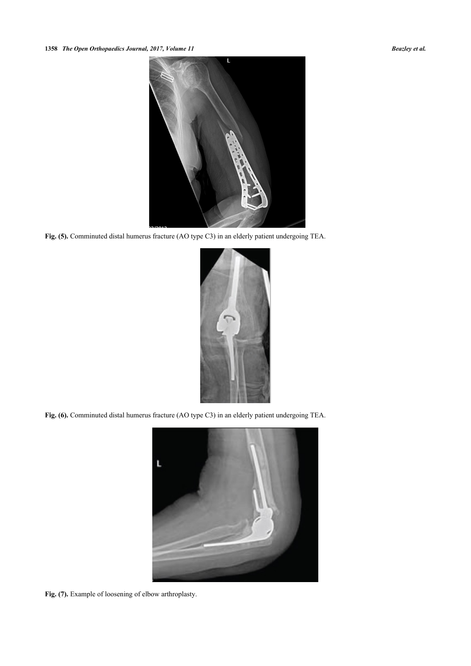

**Fig. (5).** Comminuted distal humerus fracture (AO type C3) in an elderly patient undergoing TEA.



<span id="page-5-0"></span>Fig. (6). Comminuted distal humerus fracture (AO type C3) in an elderly patient undergoing TEA.

<span id="page-5-1"></span>

Fig. (7). Example of loosening of elbow arthroplasty.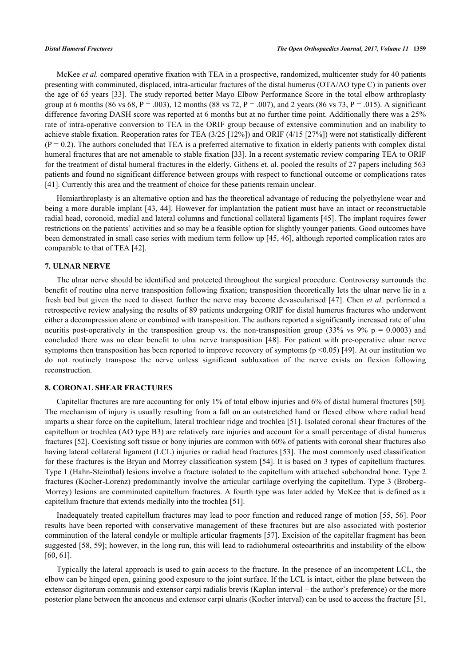McKee *et al.* compared operative fixation with TEA in a prospective, randomized, multicenter study for 40 patients presenting with comminuted, displaced, intra-articular fractures of the distal humerus (OTA/AO type C) in patients over the age of 65 years [\[33](#page-9-0)]. The study reported better Mayo Elbow Performance Score in the total elbow arthroplasty group at 6 months (86 vs 68, P = .003), 12 months (88 vs 72, P = .007), and 2 years (86 vs 73, P = .015). A significant difference favoring DASH score was reported at 6 months but at no further time point. Additionally there was a 25% rate of intra-operative conversion to TEA in the ORIF group because of extensive comminution and an inability to achieve stable fixation. Reoperation rates for TEA (3/25 [12%]) and ORIF (4/15 [27%]) were not statistically different  $(P = 0.2)$ . The authors concluded that TEA is a preferred alternative to fixation in elderly patients with complex distal humeral fractures that are not amenable to stable fixation [[33](#page-9-0)]. In a recent systematic review comparing TEA to ORIF for the treatment of distal humeral fractures in the elderly, Githens et. al. pooled the results of 27 papers including 563 patients and found no significant difference between groups with respect to functional outcome or complications rates [\[41](#page-9-8)]. Currently this area and the treatment of choice for these patients remain unclear.

Hemiarthroplasty is an alternative option and has the theoretical advantage of reducing the polyethylene wear and being a more durable implant [[43,](#page-9-10) [44\]](#page-9-11). However for implantation the patient must have an intact or reconstructable radial head, coronoid, medial and lateral columns and functional collateral ligaments [[45](#page-9-12)]. The implant requires fewer restrictions on the patients' activities and so may be a feasible option for slightly younger patients. Good outcomes have been demonstrated in small case series with medium term follow up [[45](#page-9-12), [46\]](#page-9-13), although reported complication rates are comparable to that of TEA [[42\]](#page-9-9).

#### **7. ULNAR NERVE**

The ulnar nerve should be identified and protected throughout the surgical procedure. Controversy surrounds the benefit of routine ulna nerve transposition following fixation; transposition theoretically lets the ulnar nerve lie in a fresh bed but given the need to dissect further the nerve may become devascularised [[47](#page-9-14)]. Chen *et al.* performed a retrospective review analysing the results of 89 patients undergoing ORIF for distal humerus fractures who underwent either a decompression alone or combined with transposition. The authors reported a significantly increased rate of ulna neuritis post-operatively in the transposition group vs. the non-transposition group  $(33\% \text{ vs } 9\% \text{ p} = 0.0003)$  and concluded there was no clear benefit to ulna nerve transposition [\[48](#page-9-15)]. For patient with pre-operative ulnar nerve symptoms then transposition has been reported to improve recovery of symptoms ( $p \le 0.05$ ) [\[49](#page-9-16)]. At our institution we do not routinely transpose the nerve unless significant subluxation of the nerve exists on flexion following reconstruction.

# **8. CORONAL SHEAR FRACTURES**

Capitellar fractures are rare accounting for only 1% of total elbow injuries and 6% of distal humeral fractures [[50\]](#page-9-17). The mechanism of injury is usually resulting from a fall on an outstretched hand or flexed elbow where radial head imparts a shear force on the capitellum, lateral trochlear ridge and trochlea [\[51\]](#page-9-18). Isolated coronal shear fractures of the capitellum or trochlea (AO type B3) are relatively rare injuries and account for a small percentage of distal humerus fractures [[52\]](#page-9-19). Coexisting soft tissue or bony injuries are common with 60% of patients with coronal shear fractures also having lateral collateral ligament (LCL) injuries or radial head fractures [\[53\]](#page-10-0). The most commonly used classification for these fractures is the Bryan and Morrey classification system [[54\]](#page-10-1). It is based on 3 types of capitellum fractures. Type 1 (Hahn-Steinthal) lesions involve a fracture isolated to the capitellum with attached subchondral bone. Type 2 fractures (Kocher-Lorenz) predominantly involve the articular cartilage overlying the capitellum. Type 3 (Broberg-Morrey) lesions are comminuted capitellum fractures. A fourth type was later added by McKee that is defined as a capitellum fracture that extends medially into the trochlea [[51\]](#page-9-18).

Inadequately treated capitellum fractures may lead to poor function and reduced range of motion [[55,](#page-10-2) [56](#page-10-3)]. Poor results have been reported with conservative management of these fractures but are also associated with posterior comminution of the lateral condyle or multiple articular fragments [\[57\]](#page-10-4). Excision of the capitellar fragment has been suggested [\[58](#page-10-5), [59](#page-10-6)]; however, in the long run, this will lead to radiohumeral osteoarthritis and instability of the elbow [\[60](#page-10-7), [61](#page-10-8)].

Typically the lateral approach is used to gain access to the fracture. In the presence of an incompetent LCL, the elbow can be hinged open, gaining good exposure to the joint surface. If the LCL is intact, either the plane between the extensor digitorum communis and extensor carpi radialis brevis (Kaplan interval – the author's preference) or the more posterior plane between the anconeus and extensor carpi ulnaris (Kocher interval) can be used to access the fracture [\[51](#page-9-18),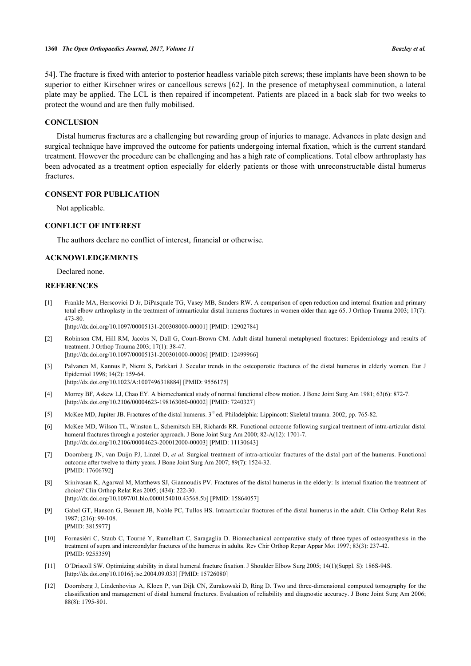[54\]](#page-10-1). The fracture is fixed with anterior to posterior headless variable pitch screws; these implants have been shown to be superior to either Kirschner wires or cancellous screws [[62](#page-10-9)]. In the presence of metaphyseal comminution, a lateral plate may be applied. The LCL is then repaired if incompetent. Patients are placed in a back slab for two weeks to protect the wound and are then fully mobilised.

# **CONCLUSION**

Distal humerus fractures are a challenging but rewarding group of injuries to manage. Advances in plate design and surgical technique have improved the outcome for patients undergoing internal fixation, which is the current standard treatment. However the procedure can be challenging and has a high rate of complications. Total elbow arthroplasty has been advocated as a treatment option especially for elderly patients or those with unreconstructable distal humerus fractures.

# **CONSENT FOR PUBLICATION**

Not applicable.

# **CONFLICT OF INTEREST**

The authors declare no conflict of interest, financial or otherwise.

# **ACKNOWLEDGEMENTS**

Declared none.

#### **REFERENCES**

<span id="page-7-0"></span>[1] Frankle MA, Herscovici D Jr, DiPasquale TG, Vasey MB, Sanders RW. A comparison of open reduction and internal fixation and primary total elbow arthroplasty in the treatment of intraarticular distal humerus fractures in women older than age 65. J Orthop Trauma 2003; 17(7): 473-80.

[\[http://dx.doi.org/10.1097/00005131-200308000-00001](http://dx.doi.org/10.1097/00005131-200308000-00001)] [PMID: [12902784\]](http://www.ncbi.nlm.nih.gov/pubmed/12902784)

- <span id="page-7-1"></span>[2] Robinson CM, Hill RM, Jacobs N, Dall G, Court-Brown CM. Adult distal humeral metaphyseal fractures: Epidemiology and results of treatment. J Orthop Trauma 2003; 17(1): 38-47. [\[http://dx.doi.org/10.1097/00005131-200301000-00006](http://dx.doi.org/10.1097/00005131-200301000-00006)] [PMID: [12499966\]](http://www.ncbi.nlm.nih.gov/pubmed/12499966)
- <span id="page-7-2"></span>[3] Palvanen M, Kannus P, Niemi S, Parkkari J. Secular trends in the osteoporotic fractures of the distal humerus in elderly women. Eur J Epidemiol 1998; 14(2): 159-64. [\[http://dx.doi.org/10.1023/A:1007496318884\]](http://dx.doi.org/10.1023/A:1007496318884) [PMID: [9556175](http://www.ncbi.nlm.nih.gov/pubmed/9556175)]
- <span id="page-7-3"></span>[4] Morrey BF, Askew LJ, Chao EY. A biomechanical study of normal functional elbow motion. J Bone Joint Surg Am 1981; 63(6): 872-7. [\[http://dx.doi.org/10.2106/00004623-198163060-00002](http://dx.doi.org/10.2106/00004623-198163060-00002)] [PMID: [7240327\]](http://www.ncbi.nlm.nih.gov/pubmed/7240327)
- <span id="page-7-4"></span>[5] McKee MD, Jupiter JB. Fractures of the distal humerus. 3rd ed. Philadelphia: Lippincott: Skeletal trauma. 2002; pp. 765-82.
- <span id="page-7-5"></span>[6] McKee MD, Wilson TL, Winston L, Schemitsch EH, Richards RR. Functional outcome following surgical treatment of intra-articular distal humeral fractures through a posterior approach. J Bone Joint Surg Am 2000; 82-A(12): 1701-7. [\[http://dx.doi.org/10.2106/00004623-200012000-00003](http://dx.doi.org/10.2106/00004623-200012000-00003)] [PMID: [11130643\]](http://www.ncbi.nlm.nih.gov/pubmed/11130643)
- <span id="page-7-6"></span>[7] Doornberg JN, van Duijn PJ, Linzel D, *et al.* Surgical treatment of intra-articular fractures of the distal part of the humerus. Functional outcome after twelve to thirty years. J Bone Joint Surg Am 2007; 89(7): 1524-32. [PMID: [17606792\]](http://www.ncbi.nlm.nih.gov/pubmed/17606792)
- <span id="page-7-7"></span>[8] Srinivasan K, Agarwal M, Matthews SJ, Giannoudis PV. Fractures of the distal humerus in the elderly: Is internal fixation the treatment of choice? Clin Orthop Relat Res 2005; (434): 222-30. [\[http://dx.doi.org/10.1097/01.blo.0000154010.43568.5b](http://dx.doi.org/10.1097/01.blo.0000154010.43568.5b)] [PMID: [15864057\]](http://www.ncbi.nlm.nih.gov/pubmed/15864057)
- <span id="page-7-8"></span>[9] Gabel GT, Hanson G, Bennett JB, Noble PC, Tullos HS. Intraarticular fractures of the distal humerus in the adult. Clin Orthop Relat Res 1987; (216): 99-108. [PMID: [3815977\]](http://www.ncbi.nlm.nih.gov/pubmed/3815977)
- <span id="page-7-9"></span>[10] Fornasiéri C, Staub C, Tourné Y, Rumelhart C, Saragaglia D. Biomechanical comparative study of three types of osteosynthesis in the treatment of supra and intercondylar fractures of the humerus in adults. Rev Chir Orthop Repar Appar Mot 1997; 83(3): 237-42. [PMID: [9255359\]](http://www.ncbi.nlm.nih.gov/pubmed/9255359)
- <span id="page-7-10"></span>[11] O'Driscoll SW. Optimizing stability in distal humeral fracture fixation. J Shoulder Elbow Surg 2005; 14(1)(Suppl. S): 186S-94S. [\[http://dx.doi.org/10.1016/j.jse.2004.09.033\]](http://dx.doi.org/10.1016/j.jse.2004.09.033) [PMID: [15726080](http://www.ncbi.nlm.nih.gov/pubmed/15726080)]
- <span id="page-7-11"></span>[12] Doornberg J, Lindenhovius A, Kloen P, van Dijk CN, Zurakowski D, Ring D. Two and three-dimensional computed tomography for the classification and management of distal humeral fractures. Evaluation of reliability and diagnostic accuracy. J Bone Joint Surg Am 2006; 88(8): 1795-801.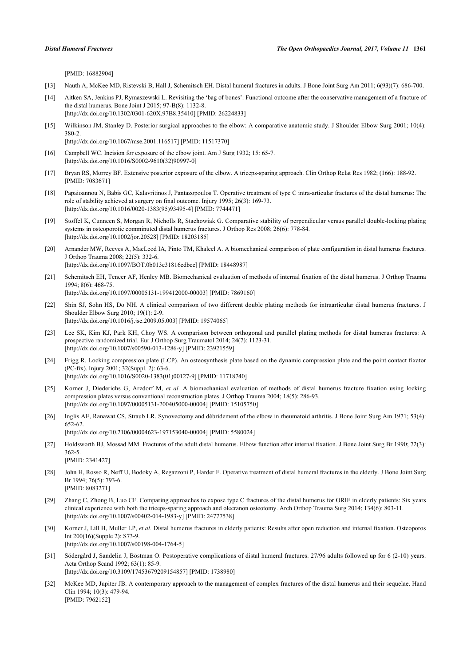[PMID: [16882904\]](http://www.ncbi.nlm.nih.gov/pubmed/16882904)

- <span id="page-8-0"></span>[13] Nauth A, McKee MD, Ristevski B, Hall J, Schemitsch EH. Distal humeral fractures in adults. J Bone Joint Surg Am 2011; 6(93)(7): 686-700.
- <span id="page-8-1"></span>[14] Aitken SA, Jenkins PJ, Rymaszewski L. Revisiting the 'bag of bones': Functional outcome after the conservative management of a fracture of the distal humerus. Bone Joint J 2015; 97-B(8): 1132-8. [\[http://dx.doi.org/10.1302/0301-620X.97B8.35410\]](http://dx.doi.org/10.1302/0301-620X.97B8.35410) [PMID: [26224833](http://www.ncbi.nlm.nih.gov/pubmed/26224833)]
- <span id="page-8-2"></span>[15] Wilkinson JM, Stanley D. Posterior surgical approaches to the elbow: A comparative anatomic study. J Shoulder Elbow Surg 2001; 10(4): 380-2.

[\[http://dx.doi.org/10.1067/mse.2001.116517\]](http://dx.doi.org/10.1067/mse.2001.116517) [PMID: [11517370](http://www.ncbi.nlm.nih.gov/pubmed/11517370)]

- <span id="page-8-3"></span>[16] Campbell WC. Incision for exposure of the elbow joint. Am J Surg 1932; 15: 65-7. [\[http://dx.doi.org/10.1016/S0002-9610\(32\)90997-0\]](http://dx.doi.org/10.1016/S0002-9610(32)90997-0)
- <span id="page-8-4"></span>[17] Bryan RS, Morrey BF. Extensive posterior exposure of the elbow. A triceps-sparing approach. Clin Orthop Relat Res 1982; (166): 188-92. [PMID: [7083671\]](http://www.ncbi.nlm.nih.gov/pubmed/7083671)
- <span id="page-8-5"></span>[18] Papaioannou N, Babis GC, Kalavritinos J, Pantazopoulos T. Operative treatment of type C intra-articular fractures of the distal humerus: The role of stability achieved at surgery on final outcome. Injury 1995; 26(3): 169-73. [\[http://dx.doi.org/10.1016/0020-1383\(95\)93495-4](http://dx.doi.org/10.1016/0020-1383(95)93495-4)] [PMID: [7744471](http://www.ncbi.nlm.nih.gov/pubmed/7744471)]
- <span id="page-8-6"></span>[19] Stoffel K, Cunneen S, Morgan R, Nicholls R, Stachowiak G. Comparative stability of perpendicular versus parallel double-locking plating systems in osteoporotic comminuted distal humerus fractures. J Orthop Res 2008; 26(6): 778-84. [\[http://dx.doi.org/10.1002/jor.20528\]](http://dx.doi.org/10.1002/jor.20528) [PMID: [18203185](http://www.ncbi.nlm.nih.gov/pubmed/18203185)]
- [20] Arnander MW, Reeves A, MacLeod IA, Pinto TM, Khaleel A. A biomechanical comparison of plate configuration in distal humerus fractures. J Orthop Trauma 2008; 22(5): 332-6. [\[http://dx.doi.org/10.1097/BOT.0b013e31816edbce](http://dx.doi.org/10.1097/BOT.0b013e31816edbce)] [PMID: [18448987\]](http://www.ncbi.nlm.nih.gov/pubmed/18448987)
- <span id="page-8-7"></span>[21] Schemitsch EH, Tencer AF, Henley MB. Biomechanical evaluation of methods of internal fixation of the distal humerus. J Orthop Trauma  $1994 \cdot 8(6) \cdot 468 - 75$ [\[http://dx.doi.org/10.1097/00005131-199412000-00003](http://dx.doi.org/10.1097/00005131-199412000-00003)] [PMID: [7869160\]](http://www.ncbi.nlm.nih.gov/pubmed/7869160)
- <span id="page-8-8"></span>[22] Shin SJ, Sohn HS, Do NH. A clinical comparison of two different double plating methods for intraarticular distal humerus fractures. J Shoulder Elbow Surg 2010; 19(1): 2-9. [\[http://dx.doi.org/10.1016/j.jse.2009.05.003\]](http://dx.doi.org/10.1016/j.jse.2009.05.003) [PMID: [19574065](http://www.ncbi.nlm.nih.gov/pubmed/19574065)]
- <span id="page-8-9"></span>[23] Lee SK, Kim KJ, Park KH, Choy WS. A comparison between orthogonal and parallel plating methods for distal humerus fractures: A prospective randomized trial. Eur J Orthop Surg Traumatol 2014; 24(7): 1123-31. [\[http://dx.doi.org/10.1007/s00590-013-1286-y\]](http://dx.doi.org/10.1007/s00590-013-1286-y) [PMID: [23921559](http://www.ncbi.nlm.nih.gov/pubmed/23921559)]
- <span id="page-8-10"></span>[24] Frigg R. Locking compression plate (LCP). An osteosynthesis plate based on the dynamic compression plate and the point contact fixator (PC-fix). Injury 2001; 32(Suppl. 2): 63-6. [\[http://dx.doi.org/10.1016/S0020-1383\(01\)00127-9\]](http://dx.doi.org/10.1016/S0020-1383(01)00127-9) [PMID: [11718740](http://www.ncbi.nlm.nih.gov/pubmed/11718740)]
- <span id="page-8-11"></span>[25] Korner J, Diederichs G, Arzdorf M, *et al.* A biomechanical evaluation of methods of distal humerus fracture fixation using locking compression plates versus conventional reconstruction plates. J Orthop Trauma 2004; 18(5): 286-93. [\[http://dx.doi.org/10.1097/00005131-200405000-00004](http://dx.doi.org/10.1097/00005131-200405000-00004)] [PMID: [15105750\]](http://www.ncbi.nlm.nih.gov/pubmed/15105750)
- <span id="page-8-12"></span>[26] Inglis AE, Ranawat CS, Straub LR. Synovectomy and débridement of the elbow in rheumatoid arthritis. J Bone Joint Surg Am 1971; 53(4): 652-62.
	- [\[http://dx.doi.org/10.2106/00004623-197153040-00004](http://dx.doi.org/10.2106/00004623-197153040-00004)] [PMID: [5580024\]](http://www.ncbi.nlm.nih.gov/pubmed/5580024)
- <span id="page-8-13"></span>[27] Holdsworth BJ, Mossad MM. Fractures of the adult distal humerus. Elbow function after internal fixation. J Bone Joint Surg Br 1990; 72(3): 362-5.

[PMID: [2341427\]](http://www.ncbi.nlm.nih.gov/pubmed/2341427)

- <span id="page-8-14"></span>[28] John H, Rosso R, Neff U, Bodoky A, Regazzoni P, Harder F. Operative treatment of distal humeral fractures in the elderly. J Bone Joint Surg Br 1994; 76(5): 793-6. [PMID: [8083271\]](http://www.ncbi.nlm.nih.gov/pubmed/8083271)
- <span id="page-8-15"></span>[29] Zhang C, Zhong B, Luo CF. Comparing approaches to expose type C fractures of the distal humerus for ORIF in elderly patients: Six years clinical experience with both the triceps-sparing approach and olecranon osteotomy. Arch Orthop Trauma Surg 2014; 134(6): 803-11. [\[http://dx.doi.org/10.1007/s00402-014-1983-y\]](http://dx.doi.org/10.1007/s00402-014-1983-y) [PMID: [24777538](http://www.ncbi.nlm.nih.gov/pubmed/24777538)]
- <span id="page-8-16"></span>[30] Korner J, Lill H, Muller LP, *et al.* Distal humerus fractures in elderly patients: Results after open reduction and internal fixation. Osteoporos Int 200(16)(Supple 2): S73-9. [\[http://dx.doi.org/10.1007/s00198-004-1764-5\]](http://dx.doi.org/10.1007/s00198-004-1764-5)
- [31] Södergård J, Sandelin J, Böstman O. Postoperative complications of distal humeral fractures. 27/96 adults followed up for 6 (2-10) years. Acta Orthop Scand 1992; 63(1): 85-9. [\[http://dx.doi.org/10.3109/17453679209154857\]](http://dx.doi.org/10.3109/17453679209154857) [PMID: [1738980](http://www.ncbi.nlm.nih.gov/pubmed/1738980)]
- [32] McKee MD, Jupiter JB. A contemporary approach to the management of complex fractures of the distal humerus and their sequelae. Hand Clin 1994; 10(3): 479-94. [PMID: [7962152\]](http://www.ncbi.nlm.nih.gov/pubmed/7962152)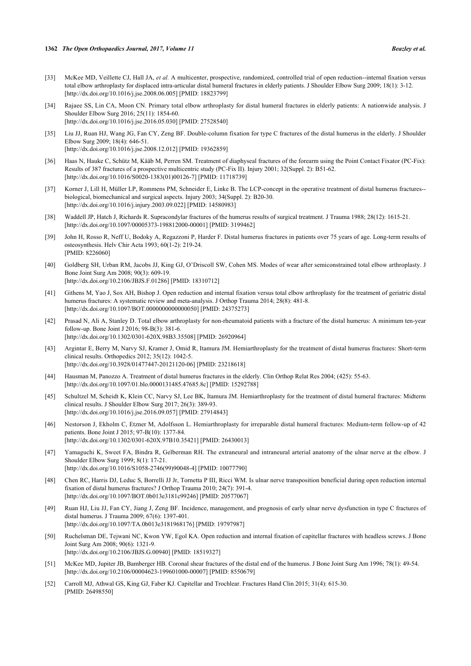- <span id="page-9-0"></span>[33] McKee MD, Veillette CJ, Hall JA, *et al.* A multicenter, prospective, randomized, controlled trial of open reduction--internal fixation versus total elbow arthroplasty for displaced intra-articular distal humeral fractures in elderly patients. J Shoulder Elbow Surg 2009; 18(1): 3-12. [\[http://dx.doi.org/10.1016/j.jse.2008.06.005\]](http://dx.doi.org/10.1016/j.jse.2008.06.005) [PMID: [18823799](http://www.ncbi.nlm.nih.gov/pubmed/18823799)]
- <span id="page-9-1"></span>[34] Rajaee SS, Lin CA, Moon CN. Primary total elbow arthroplasty for distal humeral fractures in elderly patients: A nationwide analysis. J Shoulder Elbow Surg 2016; 25(11): 1854-60. [\[http://dx.doi.org/10.1016/j.jse.2016.05.030\]](http://dx.doi.org/10.1016/j.jse.2016.05.030) [PMID: [27528540](http://www.ncbi.nlm.nih.gov/pubmed/27528540)]
- <span id="page-9-2"></span>[35] Liu JJ, Ruan HJ, Wang JG, Fan CY, Zeng BF. Double-column fixation for type C fractures of the distal humerus in the elderly. J Shoulder Elbow Surg 2009; 18(4): 646-51. [\[http://dx.doi.org/10.1016/j.jse.2008.12.012\]](http://dx.doi.org/10.1016/j.jse.2008.12.012) [PMID: [19362859](http://www.ncbi.nlm.nih.gov/pubmed/19362859)]
- <span id="page-9-3"></span>[36] Haas N, Hauke C, Schütz M, Kääb M, Perren SM. Treatment of diaphyseal fractures of the forearm using the Point Contact Fixator (PC-Fix): Results of 387 fractures of a prospective multicentric study (PC-Fix II). Injury 2001; 32(Suppl. 2): B51-62. [\[http://dx.doi.org/10.1016/S0020-1383\(01\)00126-7\]](http://dx.doi.org/10.1016/S0020-1383(01)00126-7) [PMID: [11718739](http://www.ncbi.nlm.nih.gov/pubmed/11718739)]
- <span id="page-9-4"></span>[37] Korner J, Lill H, Müller LP, Rommens PM, Schneider E, Linke B. The LCP-concept in the operative treatment of distal humerus fractures- biological, biomechanical and surgical aspects. Injury 2003; 34(Suppl. 2): B20-30. [\[http://dx.doi.org/10.1016/j.injury.2003.09.022](http://dx.doi.org/10.1016/j.injury.2003.09.022)] [PMID: [14580983\]](http://www.ncbi.nlm.nih.gov/pubmed/14580983)
- <span id="page-9-5"></span>[38] Waddell JP, Hatch J, Richards R. Supracondylar fractures of the humerus results of surgical treatment. J Trauma 1988; 28(12): 1615-21. [\[http://dx.doi.org/10.1097/00005373-198812000-00001](http://dx.doi.org/10.1097/00005373-198812000-00001)] [PMID: [3199462\]](http://www.ncbi.nlm.nih.gov/pubmed/3199462)
- <span id="page-9-6"></span>[39] John H, Rosso R, Neff U, Bodoky A, Regazzoni P, Harder F. Distal humerus fractures in patients over 75 years of age. Long-term results of osteosynthesis. Helv Chir Acta 1993; 60(1-2): 219-24. [PMID: [8226060\]](http://www.ncbi.nlm.nih.gov/pubmed/8226060)
- <span id="page-9-7"></span>[40] Goldberg SH, Urban RM, Jacobs JJ, King GJ, O'Driscoll SW, Cohen MS. Modes of wear after semiconstrained total elbow arthroplasty. J Bone Joint Surg Am 2008; 90(3): 609-19. [\[http://dx.doi.org/10.2106/JBJS.F.01286](http://dx.doi.org/10.2106/JBJS.F.01286)] [PMID: [18310712\]](http://www.ncbi.nlm.nih.gov/pubmed/18310712)
- <span id="page-9-8"></span>[41] Githens M, Yao J, Sox AH, Bishop J. Open reduction and internal fixation versus total elbow arthroplasty for the treatment of geriatric distal humerus fractures: A systematic review and meta-analysis. J Orthop Trauma 2014; 28(8): 481-8. [\[http://dx.doi.org/10.1097/BOT.0000000000000050\]](http://dx.doi.org/10.1097/BOT.0000000000000050) [PMID: [24375273](http://www.ncbi.nlm.nih.gov/pubmed/24375273)]
- <span id="page-9-9"></span>[42] Prasad N, Ali A, Stanley D. Total elbow arthroplasty for non-rheumatoid patients with a fracture of the distal humerus: A minimum ten-year follow-up. Bone Joint J 2016; 98-B(3): 381-6. [\[http://dx.doi.org/10.1302/0301-620X.98B3.35508\]](http://dx.doi.org/10.1302/0301-620X.98B3.35508) [PMID: [26920964](http://www.ncbi.nlm.nih.gov/pubmed/26920964)]
- <span id="page-9-10"></span>[43] Argintar E, Berry M, Narvy SJ, Kramer J, Omid R, Itamura JM. Hemiarthroplasty for the treatment of distal humerus fractures: Short-term clinical results. Orthopedics 2012; 35(12): 1042-5. [\[http://dx.doi.org/10.3928/01477447-20121120-06](http://dx.doi.org/10.3928/01477447-20121120-06)] [PMID: [23218618\]](http://www.ncbi.nlm.nih.gov/pubmed/23218618)
- <span id="page-9-11"></span>[44] Hausman M, Panozzo A. Treatment of distal humerus fractures in the elderly. Clin Orthop Relat Res 2004; (425): 55-63. [\[http://dx.doi.org/10.1097/01.blo.0000131485.47685.8c\]](http://dx.doi.org/10.1097/01.blo.0000131485.47685.8c) [PMID: [15292788](http://www.ncbi.nlm.nih.gov/pubmed/15292788)]
- <span id="page-9-12"></span>[45] Schultzel M, Scheidt K, Klein CC, Narvy SJ, Lee BK, Itamura JM. Hemiarthroplasty for the treatment of distal humeral fractures: Midterm clinical results. J Shoulder Elbow Surg 2017; 26(3): 389-93. [\[http://dx.doi.org/10.1016/j.jse.2016.09.057\]](http://dx.doi.org/10.1016/j.jse.2016.09.057) [PMID: [27914843](http://www.ncbi.nlm.nih.gov/pubmed/27914843)]
- <span id="page-9-13"></span>[46] Nestorson J, Ekholm C, Etzner M, Adolfsson L. Hemiarthroplasty for irreparable distal humeral fractures: Medium-term follow-up of 42 patients. Bone Joint J 2015; 97-B(10): 1377-84. [\[http://dx.doi.org/10.1302/0301-620X.97B10.35421\]](http://dx.doi.org/10.1302/0301-620X.97B10.35421) [PMID: [26430013](http://www.ncbi.nlm.nih.gov/pubmed/26430013)]
- <span id="page-9-14"></span>[47] Yamaguchi K, Sweet FA, Bindra R, Gelberman RH. The extraneural and intraneural arterial anatomy of the ulnar nerve at the elbow. J Shoulder Elbow Surg 1999; 8(1): 17-21. [\[http://dx.doi.org/10.1016/S1058-2746\(99\)90048-4\]](http://dx.doi.org/10.1016/S1058-2746(99)90048-4) [PMID: [10077790](http://www.ncbi.nlm.nih.gov/pubmed/10077790)]
- <span id="page-9-15"></span>[48] Chen RC, Harris DJ, Leduc S, Borrelli JJ Jr, Tornetta P III, Ricci WM. Is ulnar nerve transposition beneficial during open reduction internal fixation of distal humerus fractures? J Orthop Trauma 2010; 24(7): 391-4. [\[http://dx.doi.org/10.1097/BOT.0b013e3181c99246\]](http://dx.doi.org/10.1097/BOT.0b013e3181c99246) [PMID: [20577067](http://www.ncbi.nlm.nih.gov/pubmed/20577067)]
- <span id="page-9-16"></span>[49] Ruan HJ, Liu JJ, Fan CY, Jiang J, Zeng BF. Incidence, management, and prognosis of early ulnar nerve dysfunction in type C fractures of distal humerus. J Trauma 2009; 67(6): 1397-401. [\[http://dx.doi.org/10.1097/TA.0b013e3181968176](http://dx.doi.org/10.1097/TA.0b013e3181968176)] [PMID: [19797987\]](http://www.ncbi.nlm.nih.gov/pubmed/19797987)
- <span id="page-9-17"></span>[50] Ruchelsman DE, Tejwani NC, Kwon YW, Egol KA. Open reduction and internal fixation of capitellar fractures with headless screws. J Bone Joint Surg Am 2008; 90(6): 1321-9. [\[http://dx.doi.org/10.2106/JBJS.G.00940\]](http://dx.doi.org/10.2106/JBJS.G.00940) [PMID: [18519327](http://www.ncbi.nlm.nih.gov/pubmed/18519327)]
- <span id="page-9-18"></span>[51] McKee MD, Jupiter JB, Bamberger HB. Coronal shear fractures of the distal end of the humerus. J Bone Joint Surg Am 1996; 78(1): 49-54. [\[http://dx.doi.org/10.2106/00004623-199601000-00007](http://dx.doi.org/10.2106/00004623-199601000-00007)] [PMID: [8550679\]](http://www.ncbi.nlm.nih.gov/pubmed/8550679)
- <span id="page-9-19"></span>[52] Carroll MJ, Athwal GS, King GJ, Faber KJ. Capitellar and Trochlear. Fractures Hand Clin 2015; 31(4): 615-30. [PMID: [26498550\]](http://www.ncbi.nlm.nih.gov/pubmed/26498550)